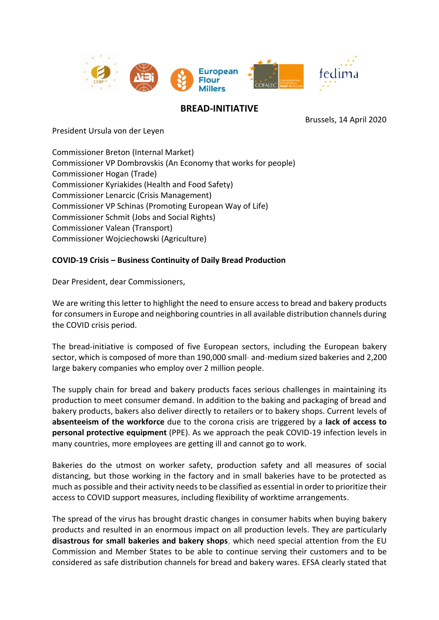

## **BREAD-INITIATIVE**

Brussels, 14 April 2020

President Ursula von der Leyen

Commissioner Breton (Internal Market) Commissioner VP Dombrovskis (An Economy that works for people) Commissioner Hogan (Trade) Commissioner Kyriakides (Health and Food Safety) Commissioner Lenarcic (Crisis Management) Commissioner VP Schinas (Promoting European Way of Life) Commissioner Schmit (Jobs and Social Rights) Commissioner Valean (Transport) Commissioner Wojciechowski (Agriculture)

## **COVID-19 Crisis – Business Continuity of Daily Bread Production**

Dear President, dear Commissioners,

We are writing this letter to highlight the need to ensure access to bread and bakery products for consumers in Europe and neighboring countries in all available distribution channels during the COVID crisis period.

The bread-initiative is composed of five European sectors, including the European bakery sector, which is composed of more than 190,000 small- and-medium sized bakeries and 2,200 large bakery companies who employ over 2 million people.

The supply chain for bread and bakery products faces serious challenges in maintaining its production to meet consumer demand. In addition to the baking and packaging of bread and bakery products, bakers also deliver directly to retailers or to bakery shops. Current levels of **absenteeism of the workforce** due to the corona crisis are triggered by a **lack of access to personal protective equipment** (PPE). As we approach the peak COVID-19 infection levels in many countries, more employees are getting ill and cannot go to work.

Bakeries do the utmost on worker safety, production safety and all measures of social distancing, but those working in the factory and in small bakeries have to be protected as much as possible and their activity needsto be classified as essential in order to prioritize their access to COVID support measures, including flexibility of worktime arrangements.

The spread of the virus has brought drastic changes in consumer habits when buying bakery products and resulted in an enormous impact on all production levels. They are particularly **disastrous for small bakeries and bakery shops**, which need special attention from the EU Commission and Member States to be able to continue serving their customers and to be considered as safe distribution channels for bread and bakery wares. EFSA clearly stated that